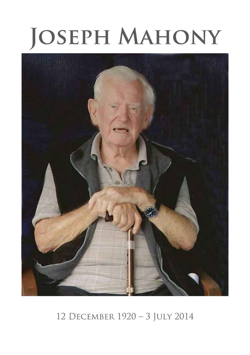# **JOSEPH MAHONY**



12 DECEMBER 1920 - 3 JULY 2014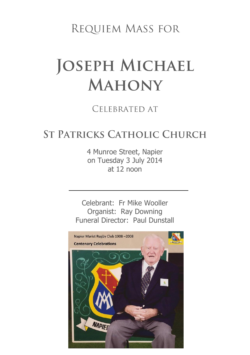REQUIEM MASS FOR

# **JOSEPH MICHAEL MAHONY**

#### CFI FBRATED AT

### **ST PATRICKS CATHOLIC CHURCH**

4 Munroe Street, Napier on Tuesday 3 July 2014 at 12 noon

Celebrant: Fr Mike Wooller Organist: Ray Downing Funeral Director: Paul Dunstall

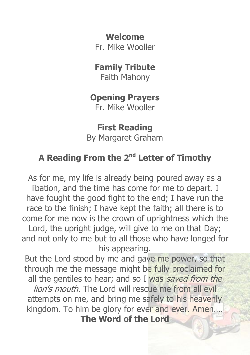**Welcome**

Fr. Mike Wooller

#### **Family Tribute**

Faith Mahony

#### **Opening Prayers**

Fr. Mike Wooller

**First Reading** By Margaret Graham

## **A Reading From the 2nd Letter of Timothy**

As for me, my life is already being poured away as a libation, and the time has come for me to depart. I have fought the good fight to the end; I have run the race to the finish; I have kept the faith; all there is to come for me now is the crown of uprightness which the Lord, the upright judge, will give to me on that Day; and not only to me but to all those who have longed for his appearing.

But the Lord stood by me and gave me power, so that through me the message might be fully proclaimed for all the gentiles to hear; and so I was saved from the lion's mouth. The Lord will rescue me from all evil attempts on me, and bring me safely to his heavenly kingdom. To him be glory for ever and ever. Amen…. **The Word of the Lord**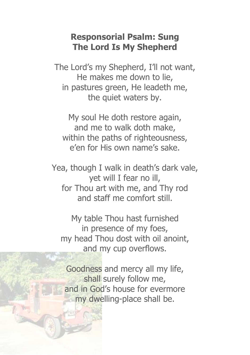#### **Responsorial Psalm: Sung The Lord Is My Shepherd**

The Lord's my Shepherd, I'll not want, He makes me down to lie, in pastures green, He leadeth me, the quiet waters by.

My soul He doth restore again, and me to walk doth make, within the paths of righteousness, e'en for His own name's sake.

Yea, though I walk in death's dark vale, yet will I fear no ill, for Thou art with me, and Thy rod and staff me comfort still.

My table Thou hast furnished in presence of my foes, my head Thou dost with oil anoint, and my cup overflows.

Goodness and mercy all my life, shall surely follow me, and in God's house for evermore my dwelling-place shall be.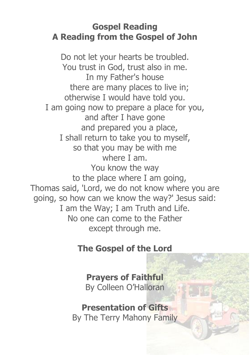#### **Gospel Reading A Reading from the Gospel of John**

Do not let your hearts be troubled. You trust in God, trust also in me. In my Father's house there are many places to live in; otherwise I would have told you. I am going now to prepare a place for you, and after I have gone and prepared you a place, I shall return to take you to myself, so that you may be with me where I am. You know the way to the place where I am going, Thomas said, 'Lord, we do not know where you are going, so how can we know the way?' Jesus said: I am the Way; I am Truth and Life. No one can come to the Father except through me.

#### **The Gospel of the Lord**

#### **Prayers of Faithful** By Colleen O'Halloran

#### **Presentation of Gifts** By The Terry Mahony Family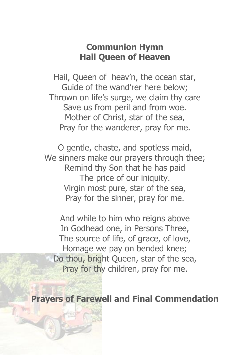#### **Communion Hymn Hail Queen of Heaven**

Hail, Queen of heav'n, the ocean star, Guide of the wand'rer here below; Thrown on life's surge, we claim thy care Save us from peril and from woe. Mother of Christ, star of the sea, Pray for the wanderer, pray for me.

O gentle, chaste, and spotless maid, We sinners make our prayers through thee; Remind thy Son that he has paid The price of our iniquity. Virgin most pure, star of the sea, Pray for the sinner, pray for me.

And while to him who reigns above In Godhead one, in Persons Three, The source of life, of grace, of love, Homage we pay on bended knee; Do thou, bright Queen, star of the sea, Pray for thy children, pray for me.

**Prayers of Farewell and Final Commendation**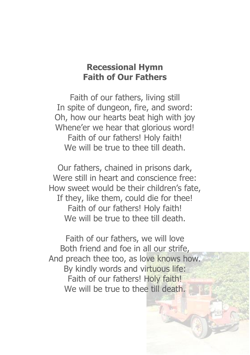#### **Recessional Hymn Faith of Our Fathers**

Faith of our fathers, living still In spite of dungeon, fire, and sword: Oh, how our hearts beat high with joy Whene'er we hear that glorious word! Faith of our fathers! Holy faith! We will be true to thee till death.

Our fathers, chained in prisons dark, Were still in heart and conscience free: How sweet would be their children's fate, If they, like them, could die for thee! Faith of our fathers! Holy faith! We will be true to thee till death.

Faith of our fathers, we will love Both friend and foe in all our strife, And preach thee too, as love knows how. By kindly words and virtuous life: Faith of our fathers! Holy faith! We will be true to thee till death.